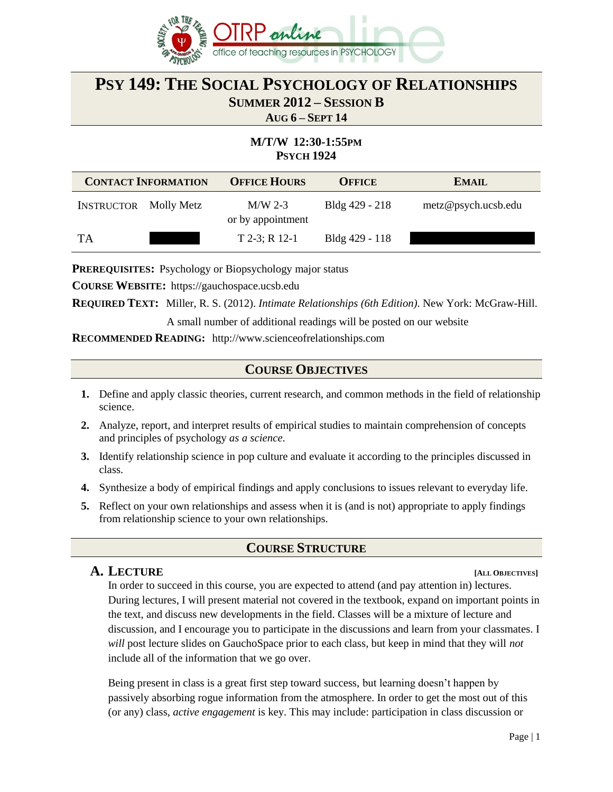

# **PSY 149: THE SOCIAL PSYCHOLOGY OF RELATIONSHIPS SUMMER 2012 – SESSION B**

**AUG 6 – SEPT 14**

# **M/T/W 12:30-1:55PM PSYCH 1924**

| <b>CONTACT INFORMATION</b>   |  | <b>OFFICE HOURS</b>            | <b>OFFICE</b>  | <b>EMAIL</b>        |
|------------------------------|--|--------------------------------|----------------|---------------------|
| <b>INSTRUCTOR</b> Molly Metz |  | $M/W$ 2-3<br>or by appointment | Bldg 429 - 218 | metz@psych.ucsb.edu |
| TA                           |  | $T$ 2-3; R 12-1                | Bldg 429 - 118 |                     |

**PREREQUISITES:** Psychology or Biopsychology major status

**COURSE WEBSITE:** https://gauchospace.ucsb.edu

**REQUIRED TEXT:** Miller, R. S. (2012). *Intimate Relationships (6th Edition)*. New York: McGraw-Hill.

A small number of additional readings will be posted on our website

**RECOMMENDED READING:** http://www.scienceofrelationships.com

#### **COURSE OBJECTIVES**

- **1.** Define and apply classic theories, current research, and common methods in the field of relationship science.
- **2.** Analyze, report, and interpret results of empirical studies to maintain comprehension of concepts and principles of psychology *as a science.*
- **3.** Identify relationship science in pop culture and evaluate it according to the principles discussed in class.
- **4.** Synthesize a body of empirical findings and apply conclusions to issues relevant to everyday life.
- **5.** Reflect on your own relationships and assess when it is (and is not) appropriate to apply findings from relationship science to your own relationships.

#### **COURSE STRUCTURE**

#### A. LECTURE  $\begin{bmatrix} \text{ALL OBIECTVES} \end{bmatrix}$

In order to succeed in this course, you are expected to attend (and pay attention in) lectures. During lectures, I will present material not covered in the textbook, expand on important points in the text, and discuss new developments in the field. Classes will be a mixture of lecture and discussion, and I encourage you to participate in the discussions and learn from your classmates. I *will* post lecture slides on GauchoSpace prior to each class, but keep in mind that they will *not* include all of the information that we go over.

Being present in class is a great first step toward success, but learning doesn't happen by passively absorbing rogue information from the atmosphere. In order to get the most out of this (or any) class, *active engagement* is key. This may include: participation in class discussion or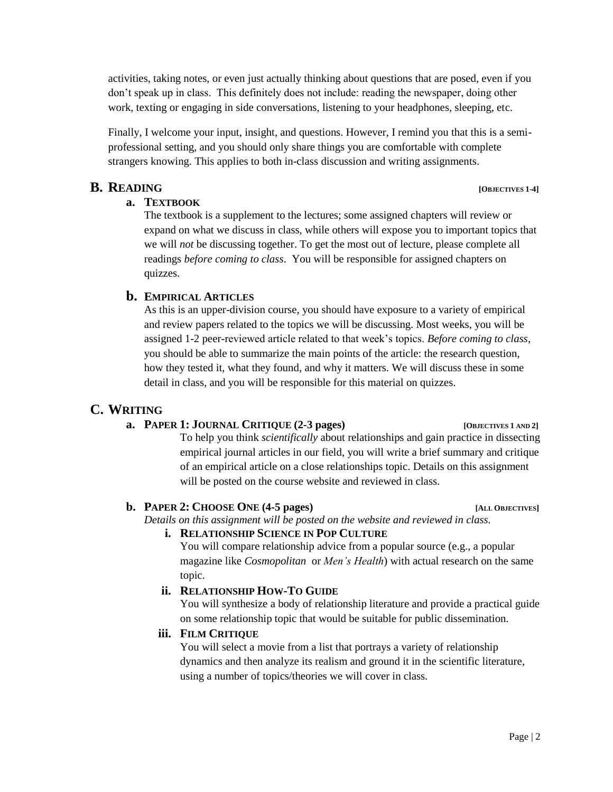activities, taking notes, or even just actually thinking about questions that are posed, even if you don't speak up in class. This definitely does not include: reading the newspaper, doing other work, texting or engaging in side conversations, listening to your headphones, sleeping, etc.

Finally, I welcome your input, insight, and questions. However, I remind you that this is a semiprofessional setting, and you should only share things you are comfortable with complete strangers knowing. This applies to both in-class discussion and writing assignments.

#### **B. READING [OBJECTIVES 1-4]**

#### **a. TEXTBOOK**

The textbook is a supplement to the lectures; some assigned chapters will review or expand on what we discuss in class, while others will expose you to important topics that we will *not* be discussing together. To get the most out of lecture, please complete all readings *before coming to class*. You will be responsible for assigned chapters on quizzes.

### **b. EMPIRICAL ARTICLES**

As this is an upper-division course, you should have exposure to a variety of empirical and review papers related to the topics we will be discussing. Most weeks, you will be assigned 1-2 peer-reviewed article related to that week's topics. *Before coming to class*, you should be able to summarize the main points of the article: the research question, how they tested it, what they found, and why it matters. We will discuss these in some detail in class, and you will be responsible for this material on quizzes.

# **C. WRITING**

#### **a. PAPER 1: JOURNAL CRITIQUE (2-3 pages) [OBJECTIVES <sup>1</sup> AND 2]**

To help you think *scientifically* about relationships and gain practice in dissecting empirical journal articles in our field, you will write a brief summary and critique of an empirical article on a close relationships topic. Details on this assignment will be posted on the course website and reviewed in class.

#### **b. PAPER 2: CHOOSE ONE** (4-5 pages) *ALL OBJECTIVES*

*Details on this assignment will be posted on the website and reviewed in class.*

#### **i. RELATIONSHIP SCIENCE IN POP CULTURE**

You will compare relationship advice from a popular source (e.g., a popular magazine like *Cosmopolitan* or *Men's Health*) with actual research on the same topic.

# **ii. RELATIONSHIP HOW-TO GUIDE**

You will synthesize a body of relationship literature and provide a practical guide on some relationship topic that would be suitable for public dissemination.

#### **iii. FILM CRITIQUE**

You will select a movie from a list that portrays a variety of relationship dynamics and then analyze its realism and ground it in the scientific literature, using a number of topics/theories we will cover in class.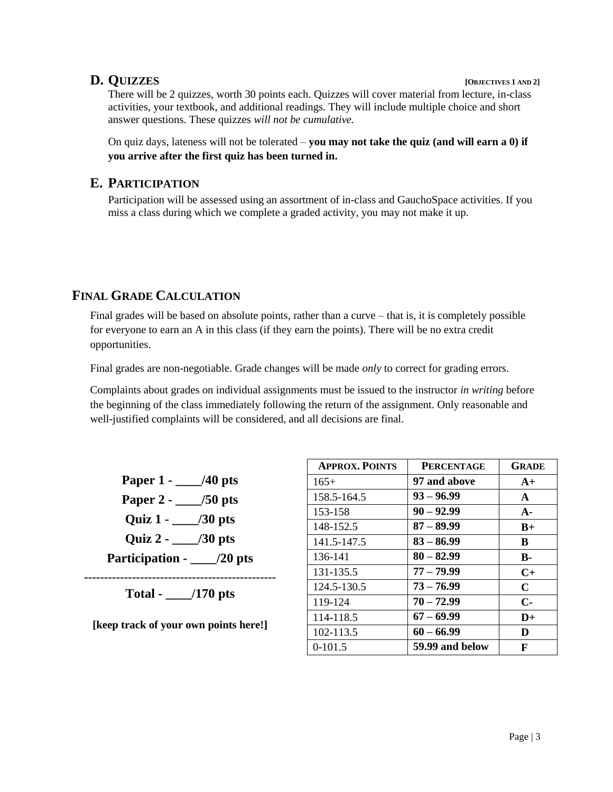### **D. QUIZZES [OBJECTIVES <sup>1</sup> AND 2]**

There will be 2 quizzes, worth 30 points each. Quizzes will cover material from lecture, in-class activities, your textbook, and additional readings. They will include multiple choice and short answer questions. These quizzes *will not be cumulative.*

On quiz days, lateness will not be tolerated – **you may not take the quiz (and will earn a 0) if you arrive after the first quiz has been turned in.** 

#### **E. PARTICIPATION**

Participation will be assessed using an assortment of in-class and GauchoSpace activities. If you miss a class during which we complete a graded activity, you may not make it up.

# **FINAL GRADE CALCULATION**

Final grades will be based on absolute points, rather than a curve – that is, it is completely possible for everyone to earn an A in this class (if they earn the points). There will be no extra credit opportunities.

Final grades are non-negotiable. Grade changes will be made *only* to correct for grading errors.

Complaints about grades on individual assignments must be issued to the instructor *in writing* before the beginning of the class immediately following the return of the assignment. Only reasonable and well-justified complaints will be considered, and all decisions are final.

**Paper 1 - \_\_\_\_/40 pts Paper 2 - \_\_\_\_/50 pts Quiz 1 - \_\_\_\_/30 pts Quiz 2 - \_\_\_\_/30 pts Participation - \_\_\_\_/20 pts ------------------------------------------------** 

**Total - \_\_\_\_/170 pts** 

**[keep track of your own points here!]** 

| <b>APPROX. POINTS</b> | <b>PERCENTAGE</b> | <b>GRADE</b> |
|-----------------------|-------------------|--------------|
| $165+$                | 97 and above      | $A+$         |
| 158.5-164.5           | $93 - 96.99$      | $\mathbf{A}$ |
| 153-158               | $90 - 92.99$      | $A -$        |
| 148-152.5             | $87 - 89.99$      | $B+$         |
| 141.5-147.5           | $83 - 86.99$      | B            |
| 136-141               | $80 - 82.99$      | <b>B-</b>    |
| 131-135.5             | $77 - 79.99$      | $C+$         |
| 124.5-130.5           | $73 - 76.99$      | $\mathbf C$  |
| 119-124               | $70 - 72.99$      | $C-$         |
| 114-118.5             | $67 - 69.99$      | $D+$         |
| 102-113.5             | $60 - 66.99$      | D            |
| $0-101.5$             | 59.99 and below   | F            |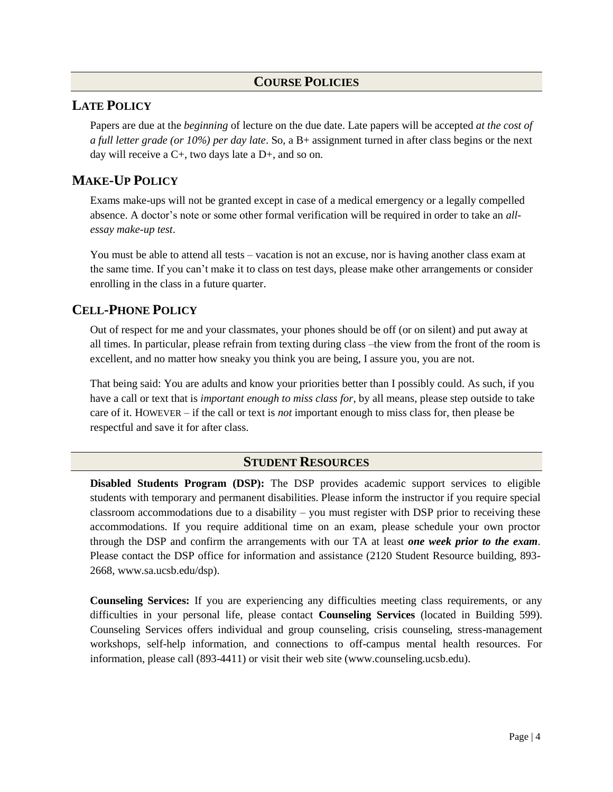#### **COURSE POLICIES**

#### **LATE POLICY**

Papers are due at the *beginning* of lecture on the due date. Late papers will be accepted *at the cost of a full letter grade (or 10%) per day late*. So, a B+ assignment turned in after class begins or the next day will receive a  $C<sub>+</sub>$ , two days late a  $D<sub>+</sub>$ , and so on.

# **MAKE-UP POLICY**

Exams make-ups will not be granted except in case of a medical emergency or a legally compelled absence. A doctor's note or some other formal verification will be required in order to take an *allessay make-up test*.

You must be able to attend all tests – vacation is not an excuse, nor is having another class exam at the same time. If you can't make it to class on test days, please make other arrangements or consider enrolling in the class in a future quarter.

# **CELL-PHONE POLICY**

Out of respect for me and your classmates, your phones should be off (or on silent) and put away at all times. In particular, please refrain from texting during class –the view from the front of the room is excellent, and no matter how sneaky you think you are being, I assure you, you are not.

That being said: You are adults and know your priorities better than I possibly could. As such, if you have a call or text that is *important enough to miss class for*, by all means, please step outside to take care of it. HOWEVER – if the call or text is *not* important enough to miss class for, then please be respectful and save it for after class.

#### **STUDENT RESOURCES**

**Disabled Students Program (DSP):** The DSP provides academic support services to eligible students with temporary and permanent disabilities. Please inform the instructor if you require special classroom accommodations due to a disability – you must register with DSP prior to receiving these accommodations. If you require additional time on an exam, please schedule your own proctor through the DSP and confirm the arrangements with our TA at least *one week prior to the exam*. Please contact the DSP office for information and assistance (2120 Student Resource building, 893- 2668, www.sa.ucsb.edu/dsp).

**Counseling Services:** If you are experiencing any difficulties meeting class requirements, or any difficulties in your personal life, please contact **Counseling Services** (located in Building 599). Counseling Services offers individual and group counseling, crisis counseling, stress-management workshops, self-help information, and connections to off-campus mental health resources. For information, please call (893-4411) or visit their web site (www.counseling.ucsb.edu).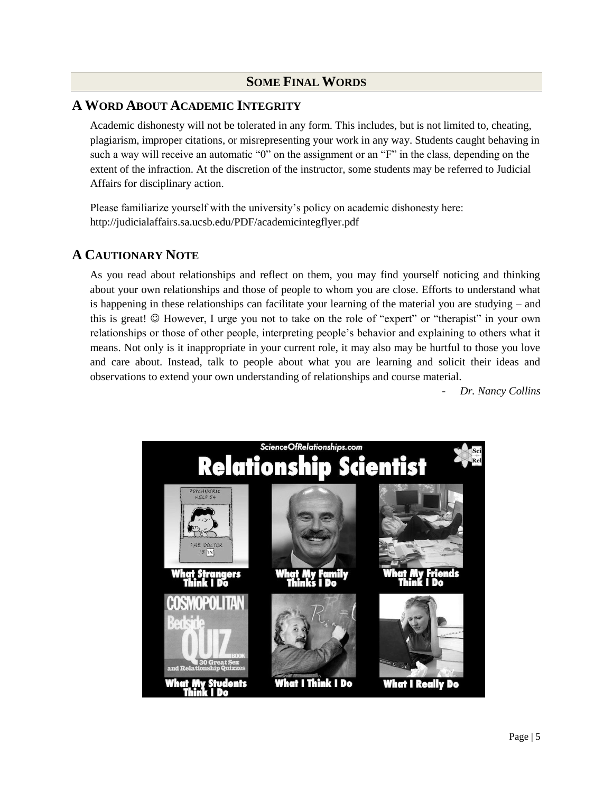#### **SOME FINAL WORDS**

#### **A WORD ABOUT ACADEMIC INTEGRITY**

 Academic dishonesty will not be tolerated in any form. This includes, but is not limited to, cheating, plagiarism, improper citations, or misrepresenting your work in any way. Students caught behaving in such a way will receive an automatic "0" on the assignment or an "F" in the class, depending on the extent of the infraction. At the discretion of the instructor, some students may be referred to Judicial Affairs for disciplinary action.

Please familiarize yourself with the university's policy on academic dishonesty here: http://judicialaffairs.sa.ucsb.edu/PDF/academicintegflyer.pdf

# **A CAUTIONARY NOTE**

As you read about relationships and reflect on them, you may find yourself noticing and thinking about your own relationships and those of people to whom you are close. Efforts to understand what is happening in these relationships can facilitate your learning of the material you are studying – and this is great!  $\odot$  However, I urge you not to take on the role of "expert" or "therapist" in your own relationships or those of other people, interpreting people's behavior and explaining to others what it means. Not only is it inappropriate in your current role, it may also may be hurtful to those you love and care about. Instead, talk to people about what you are learning and solicit their ideas and observations to extend your own understanding of relationships and course material.

- *Dr. Nancy Collins* 

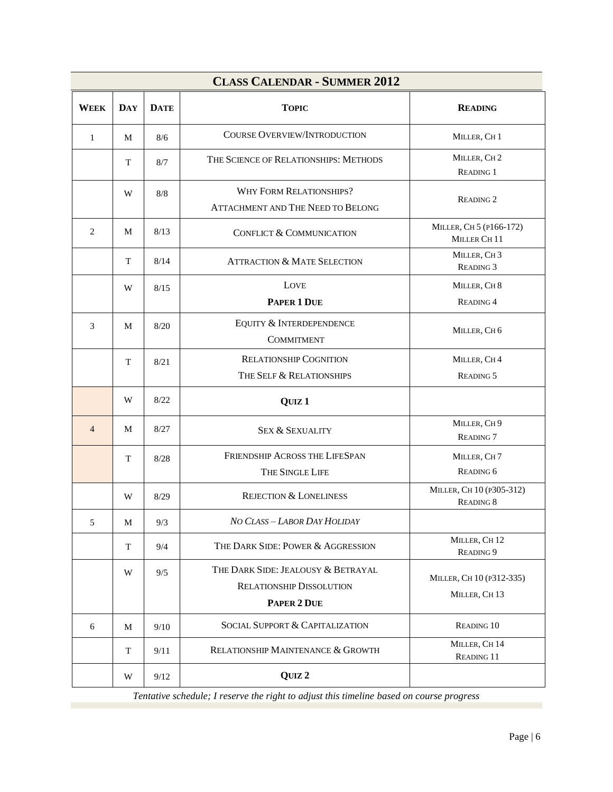| <b>CLASS CALENDAR - SUMMER 2012</b> |     |             |                                                                                      |                                                    |
|-------------------------------------|-----|-------------|--------------------------------------------------------------------------------------|----------------------------------------------------|
| <b>WEEK</b>                         | DAY | <b>DATE</b> | <b>TOPIC</b>                                                                         | <b>READING</b>                                     |
| $\mathbf{1}$                        | M   | 8/6         | COURSE OVERVIEW/INTRODUCTION                                                         | MILLER, CH <sub>1</sub>                            |
|                                     | T   | 8/7         | THE SCIENCE OF RELATIONSHIPS: METHODS                                                | MILLER, CH <sub>2</sub><br><b>READING 1</b>        |
|                                     | W   | 8/8         | <b>WHY FORM RELATIONSHIPS?</b><br>ATTACHMENT AND THE NEED TO BELONG                  | <b>READING 2</b>                                   |
| $\overline{c}$                      | M   | 8/13        | CONFLICT & COMMUNICATION                                                             | MILLER, CH 5 (P166-172)<br>MILLER CH <sub>11</sub> |
|                                     | T   | 8/14        | <b>ATTRACTION &amp; MATE SELECTION</b>                                               | MILLER, CH <sub>3</sub><br><b>READING 3</b>        |
|                                     | W   | 8/15        | LOVE<br>PAPER 1 DUE                                                                  | MILLER, CH 8<br>READING 4                          |
| 3                                   | M   | 8/20        | EQUITY & INTERDEPENDENCE<br><b>COMMITMENT</b>                                        | MILLER, CH 6                                       |
|                                     | T   | 8/21        | <b>RELATIONSHIP COGNITION</b><br>THE SELF & RELATIONSHIPS                            | MILLER, CH4<br>READING 5                           |
|                                     | W   | 8/22        | QUIZ <sub>1</sub>                                                                    |                                                    |
| $\overline{4}$                      | M   | 8/27        | <b>SEX &amp; SEXUALITY</b>                                                           | MILLER, CH 9<br>READING <sub>7</sub>               |
|                                     | T   | 8/28        | FRIENDSHIP ACROSS THE LIFESPAN<br>THE SINGLE LIFE                                    | MILLER, CH7<br>READING 6                           |
|                                     | W   | 8/29        | <b>REJECTION &amp; LONELINESS</b>                                                    | MILLER, CH 10 (P305-312)<br>READING 8              |
| 5                                   | M   | 9/3         | NO CLASS - LABOR DAY HOLIDAY                                                         |                                                    |
|                                     | T   | 9/4         | THE DARK SIDE: POWER & AGGRESSION                                                    | MILLER, CH12<br>READING 9                          |
|                                     | W   | 9/5         | THE DARK SIDE: JEALOUSY & BETRAYAL<br><b>RELATIONSHIP DISSOLUTION</b><br>PAPER 2 DUE | MILLER, CH 10 (P312-335)<br>MILLER, CH13           |
| 6                                   | M   | 9/10        | <b>SOCIAL SUPPORT &amp; CAPITALIZATION</b>                                           | READING 10                                         |
|                                     | T   | 9/11        | RELATIONSHIP MAINTENANCE & GROWTH                                                    | MILLER, CH 14<br>READING 11                        |
|                                     | W   | 9/12        | QUIZ <sub>2</sub>                                                                    |                                                    |

*Tentative schedule; I reserve the right to adjust this timeline based on course progress*